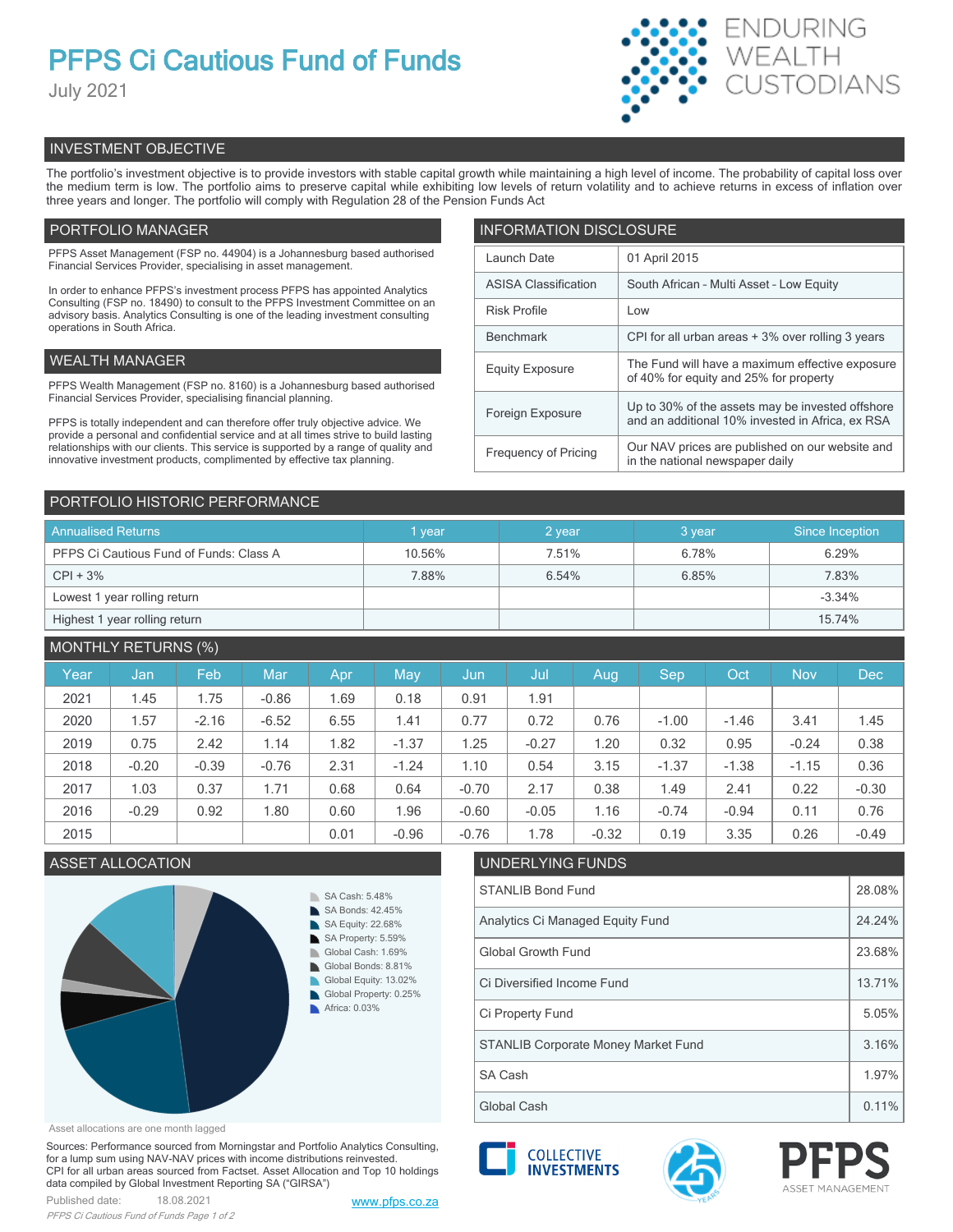# **PFPS Ci Cautious Fund of Funds**

July 2021



# INVESTMENT OBJECTIVE

The portfolio's investment objective is to provide investors with stable capital growth while maintaining a high level of income. The probability of capital loss over the medium term is low. The portfolio aims to preserve capital while exhibiting low levels of return volatility and to achieve returns in excess of inflation over three years and longer. The portfolio will comply with Regulation 28 of the Pension Funds Act

# PORTFOLIO MANAGER

PFPS Asset Management (FSP no. 44904) is a Johannesburg based authorised Financial Services Provider, specialising in asset management.

In order to enhance PFPS's investment process PFPS has appointed Analytics Consulting (FSP no. 18490) to consult to the PFPS Investment Committee on an advisory basis. Analytics Consulting is one of the leading investment consulting operations in South Africa.

# WEALTH MANAGER

PFPS Wealth Management (FSP no. 8160) is a Johannesburg based authorised Financial Services Provider, specialising financial planning.

PFPS is totally independent and can therefore offer truly objective advice. We provide a personal and confidential service and at all times strive to build lasting relationships with our clients. This service is supported by a range of quality and innovative investment products, complimented by effective tax planning.

| <b>INFORMATION DISCLOSURE</b> |                                                                                                      |  |  |  |
|-------------------------------|------------------------------------------------------------------------------------------------------|--|--|--|
| Launch Date                   | 01 April 2015                                                                                        |  |  |  |
| <b>ASISA Classification</b>   | South African - Multi Asset - Low Equity                                                             |  |  |  |
| <b>Risk Profile</b>           | Low                                                                                                  |  |  |  |
| <b>Benchmark</b>              | CPI for all urban areas + 3% over rolling 3 years                                                    |  |  |  |
| <b>Equity Exposure</b>        | The Fund will have a maximum effective exposure<br>of 40% for equity and 25% for property            |  |  |  |
| Foreign Exposure              | Up to 30% of the assets may be invested offshore<br>and an additional 10% invested in Africa, ex RSA |  |  |  |
| <b>Frequency of Pricing</b>   | Our NAV prices are published on our website and<br>in the national newspaper daily                   |  |  |  |

# PORTFOLIO HISTORIC PERFORMANCE

| <b>Annualised Returns</b>               | vear   | 2 year | 3 year | Since Inception |
|-----------------------------------------|--------|--------|--------|-----------------|
| PFPS Ci Cautious Fund of Funds: Class A | 10.56% | 7.51%  | 6.78%  | 6.29%           |
| $CPI + 3%$                              | 7.88%  | 6.54%  | 6.85%  | 7.83%           |
| Lowest 1 year rolling return            |        |        |        | $-3.34%$        |
| Highest 1 year rolling return           |        |        |        | 15.74%          |

# MONTHLY RETURNS (%)

| Year | Jan     | Feb     | Mar     | Apr  | May     | Jun     | Jul     | Aug     | Sep     | Oct     | <b>Nov</b> | <b>Dec</b> |
|------|---------|---------|---------|------|---------|---------|---------|---------|---------|---------|------------|------------|
| 2021 | 1.45    | 1.75    | $-0.86$ | 1.69 | 0.18    | 0.91    | 1.91    |         |         |         |            |            |
| 2020 | 1.57    | $-2.16$ | $-6.52$ | 6.55 | 1.41    | 0.77    | 0.72    | 0.76    | $-1.00$ | $-1.46$ | 3.41       | 1.45       |
| 2019 | 0.75    | 2.42    | 1.14    | 1.82 | $-1.37$ | 1.25    | $-0.27$ | 1.20    | 0.32    | 0.95    | $-0.24$    | 0.38       |
| 2018 | $-0.20$ | $-0.39$ | $-0.76$ | 2.31 | $-1.24$ | 1.10    | 0.54    | 3.15    | $-1.37$ | $-1.38$ | $-1.15$    | 0.36       |
| 2017 | 1.03    | 0.37    | 1.71    | 0.68 | 0.64    | $-0.70$ | 2.17    | 0.38    | 1.49    | 2.41    | 0.22       | $-0.30$    |
| 2016 | $-0.29$ | 0.92    | 1.80    | 0.60 | 1.96    | $-0.60$ | $-0.05$ | 1.16    | $-0.74$ | $-0.94$ | 0.11       | 0.76       |
| 2015 |         |         |         | 0.01 | $-0.96$ | $-0.76$ | 1.78    | $-0.32$ | 0.19    | 3.35    | 0.26       | $-0.49$    |

# ASSET ALLOCATION UNDERLYING FUNDS



#### Asset allocations are one month lagged

Sources: Performance sourced from Morningstar and Portfolio Analytics Consulting, for a lump sum using NAV-NAV prices with income distributions reinvested. CPI for all urban areas sourced from Factset. Asset Allocation and Top 10 holdings data compiled by Global Investment Reporting SA ("GIRSA")



| Global Growth Fund                         | 23.68% |
|--------------------------------------------|--------|
| Ci Diversified Income Fund                 | 13.71% |
| Ci Property Fund                           | 5.05%  |
| <b>STANLIB Corporate Money Market Fund</b> | 3.16%  |
| SA Cash                                    | 1.97%  |
| Global Cash                                | 0.11%  |